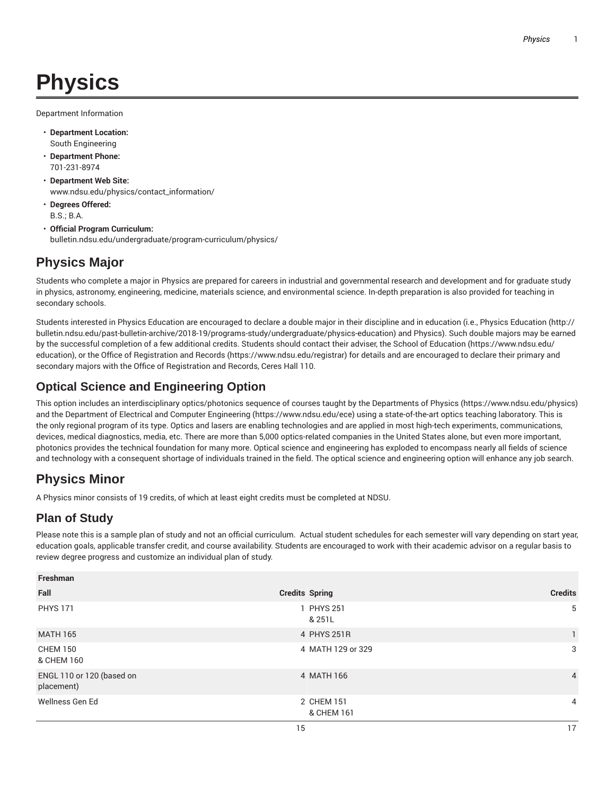# **Physics**

Department Information

- **Department Location:** South Engineering
- **Department Phone:** 701-231-8974
- **Department Web Site:** www.ndsu.edu/physics/contact\_information/
- **Degrees Offered:** B.S.; B.A.
- **Official Program Curriculum:** bulletin.ndsu.edu/undergraduate/program-curriculum/physics/

# **Physics Major**

Students who complete a major in Physics are prepared for careers in industrial and governmental research and development and for graduate study in physics, astronomy, engineering, medicine, materials science, and environmental science. In-depth preparation is also provided for teaching in secondary schools.

Students interested in Physics Education are encouraged to declare a double major in their discipline and in education (i.e., Physics Education (http:// bulletin.ndsu.edu/past-bulletin-archive/2018-19/programs-study/undergraduate/physics-education) and Physics). Such double majors may be earned by the successful completion of a few additional credits. Students should contact their adviser, the School of Education (https://www.ndsu.edu/ education), or the Office of Registration and Records (https://www.ndsu.edu/registrar) for details and are encouraged to declare their primary and secondary majors with the Office of Registration and Records, Ceres Hall 110.

# **Optical Science and Engineering Option**

This option includes an interdisciplinary optics/photonics sequence of courses taught by the Departments of Physics (https://www.ndsu.edu/physics) and the Department of Electrical and Computer Engineering (https://www.ndsu.edu/ece) using a state-of-the-art optics teaching laboratory. This is the only regional program of its type. Optics and lasers are enabling technologies and are applied in most high-tech experiments, communications, devices, medical diagnostics, media, etc. There are more than 5,000 optics-related companies in the United States alone, but even more important, photonics provides the technical foundation for many more. Optical science and engineering has exploded to encompass nearly all fields of science and technology with a consequent shortage of individuals trained in the field. The optical science and engineering option will enhance any job search.

# **Physics Minor**

A Physics minor consists of 19 credits, of which at least eight credits must be completed at NDSU.

# **Plan of Study**

Please note this is a sample plan of study and not an official curriculum. Actual student schedules for each semester will vary depending on start year, education goals, applicable transfer credit, and course availability. Students are encouraged to work with their academic advisor on a regular basis to review degree progress and customize an individual plan of study.

| Freshman                                |                          |                |
|-----------------------------------------|--------------------------|----------------|
| Fall                                    | <b>Credits Spring</b>    | <b>Credits</b> |
| <b>PHYS 171</b>                         | 1 PHYS 251<br>& 251L     | 5              |
| <b>MATH 165</b>                         | 4 PHYS 251R              | $\mathbf{1}$   |
| <b>CHEM 150</b><br>& CHEM 160           | 4 MATH 129 or 329        | 3              |
| ENGL 110 or 120 (based on<br>placement) | 4 MATH 166               | $\overline{4}$ |
| Wellness Gen Ed                         | 2 CHEM 151<br>& CHEM 161 | $\overline{4}$ |